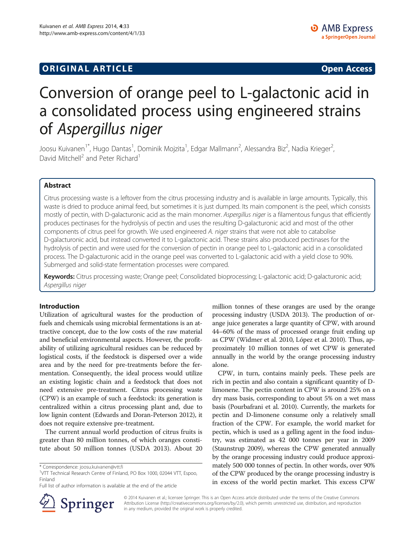# **ORIGINAL ARTICLE CONSUMING A LIGACION CONSUMING A LIGACION CONSUMING A LIGACION**

# Conversion of orange peel to L-galactonic acid in a consolidated process using engineered strains of Aspergillus niger

Joosu Kuivanen<sup>1\*</sup>, Hugo Dantas<sup>1</sup>, Dominik Mojzita<sup>1</sup>, Edgar Mallmann<sup>2</sup>, Alessandra Biz<sup>2</sup>, Nadia Krieger<sup>2</sup> , David Mitchell<sup>2</sup> and Peter Richard<sup>1</sup>

# Abstract

Citrus processing waste is a leftover from the citrus processing industry and is available in large amounts. Typically, this waste is dried to produce animal feed, but sometimes it is just dumped. Its main component is the peel, which consists mostly of pectin, with D-galacturonic acid as the main monomer. Aspergillus niger is a filamentous fungus that efficiently produces pectinases for the hydrolysis of pectin and uses the resulting D-galacturonic acid and most of the other components of citrus peel for growth. We used engineered A. niger strains that were not able to catabolise D-galacturonic acid, but instead converted it to L-galactonic acid. These strains also produced pectinases for the hydrolysis of pectin and were used for the conversion of pectin in orange peel to L-galactonic acid in a consolidated process. The D-galacturonic acid in the orange peel was converted to L-galactonic acid with a yield close to 90%. Submerged and solid-state fermentation processes were compared.

Keywords: Citrus processing waste; Orange peel; Consolidated bioprocessing; L-galactonic acid; D-galacturonic acid; Aspergillus niger

#### Introduction

Utilization of agricultural wastes for the production of fuels and chemicals using microbial fermentations is an attractive concept, due to the low costs of the raw material and beneficial environmental aspects. However, the profitability of utilizing agricultural residues can be reduced by logistical costs, if the feedstock is dispersed over a wide area and by the need for pre-treatments before the fermentation. Consequently, the ideal process would utilize an existing logistic chain and a feedstock that does not need extensive pre-treatment. Citrus processing waste (CPW) is an example of such a feedstock: its generation is centralized within a citrus processing plant and, due to low lignin content (Edwards and Doran-Peterson [2012\)](#page-7-0), it does not require extensive pre-treatment.

The current annual world production of citrus fruits is greater than 80 million tonnes, of which oranges constitute about 50 million tonnes (USDA [2013](#page-7-0)). About 20

Full list of author information is available at the end of the article



million tonnes of these oranges are used by the orange processing industry (USDA [2013\)](#page-7-0). The production of orange juice generates a large quantity of CPW, with around 44–60% of the mass of processed orange fruit ending up as CPW (Widmer et al. [2010,](#page-7-0) López et al. [2010](#page-7-0)). Thus, approximately 10 million tonnes of wet CPW is generated annually in the world by the orange processing industry alone.

CPW, in turn, contains mainly peels. These peels are rich in pectin and also contain a significant quantity of Dlimonene. The pectin content in CPW is around 25% on a dry mass basis, corresponding to about 5% on a wet mass basis (Pourbafrani et al. [2010](#page-7-0)). Currently, the markets for pectin and D-limonene consume only a relatively small fraction of the CPW. For example, the world market for pectin, which is used as a gelling agent in the food industry, was estimated as 42 000 tonnes per year in 2009 (Staunstrup [2009](#page-7-0)), whereas the CPW generated annually by the orange processing industry could produce approximately 500 000 tonnes of pectin. In other words, over 90% of the CPW produced by the orange processing industry is in excess of the world pectin market. This excess CPW

© 2014 Kuivanen et al.; licensee Springer. This is an Open Access article distributed under the terms of the Creative Commons Attribution License (http://creativecommons.org/licenses/by/2.0), which permits unrestricted use, distribution, and reproduction in any medium, provided the original work is properly credited.

<sup>\*</sup> Correspondence: [joosu.kuivanen@vtt.fi](mailto:joosu.kuivanen@vtt.fi) <sup>1</sup>

<sup>&</sup>lt;sup>1</sup>VTT Technical Research Centre of Finland, PO Box 1000, 02044 VTT, Espoo, Finland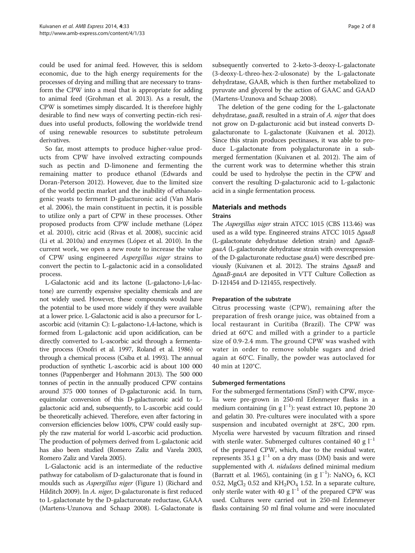could be used for animal feed. However, this is seldom economic, due to the high energy requirements for the processes of drying and milling that are necessary to transform the CPW into a meal that is appropriate for adding to animal feed (Grohman et al. [2013](#page-7-0)). As a result, the CPW is sometimes simply discarded. It is therefore highly desirable to find new ways of converting pectin-rich residues into useful products, following the worldwide trend of using renewable resources to substitute petroleum derivatives.

So far, most attempts to produce higher-value products from CPW have involved extracting compounds such as pectin and D-limonene and fermenting the remaining matter to produce ethanol (Edwards and Doran-Peterson [2012\)](#page-7-0). However, due to the limited size of the world pectin market and the inability of ethanologenic yeasts to ferment D-galacturonic acid (Van Maris et al. [2006\)](#page-7-0), the main constituent in pectin, it is possible to utilize only a part of CPW in these processes. Other proposed products from CPW include methane (López et al. [2010\)](#page-7-0), citric acid (Rivas et al. [2008\)](#page-7-0), succinic acid (Li et al. [2010a\)](#page-7-0) and enzymes (López et al. [2010\)](#page-7-0). In the current work, we open a new route to increase the value of CPW using engineered Aspergillus niger strains to convert the pectin to L-galactonic acid in a consolidated process.

L-Galactonic acid and its lactone (L-galactono-1,4-lactone) are currently expensive speciality chemicals and are not widely used. However, these compounds would have the potential to be used more widely if they were available at a lower price. L-Galactonic acid is also a precursor for Lascorbic acid (vitamin C): L-galactono-1,4-lactone, which is formed from L-galactonic acid upon acidification, can be directly converted to L-ascorbic acid through a fermentative process (Onofri et al. [1997](#page-7-0), Roland et al. [1986\)](#page-7-0) or through a chemical process (Csiba et al. [1993](#page-7-0)). The annual production of synthetic L-ascorbic acid is about 100 000 tonnes (Pappenberger and Hohmann [2013](#page-7-0)). The 500 000 tonnes of pectin in the annually produced CPW contains around 375 000 tonnes of D-galacturonic acid. In turn, equimolar conversion of this D-galacturonic acid to Lgalactonic acid and, subsequently, to L-ascorbic acid could be theoretically achieved. Therefore, even after factoring in conversion efficiencies below 100%, CPW could easily supply the raw material for world L-ascorbic acid production. The production of polymers derived from L-galactonic acid has also been studied (Romero Zaliz and Varela [2003](#page-7-0), Romero Zaliz and Varela [2005\)](#page-7-0).

L-Galactonic acid is an intermediate of the reductive pathway for catabolism of D-galacturonate that is found in moulds such as *Aspergillus niger* (Figure [1](#page-2-0)) (Richard and Hilditch [2009](#page-7-0)). In A. niger, D-galacturonate is first reduced to L-galactonate by the D-galacturonate reductase, GAAA (Martens-Uzunova and Schaap [2008](#page-7-0)). L-Galactonate is subsequently converted to 2-keto-3-deoxy-L-galactonate (3-deoxy-L-threo-hex-2-ulosonate) by the L-galactonate dehydratase, GAAB, which is then further metabolized to pyruvate and glycerol by the action of GAAC and GAAD (Martens-Uzunova and Schaap [2008](#page-7-0)).

The deletion of the gene coding for the L-galactonate dehydratase, gaaB, resulted in a strain of A. niger that does not grow on D-galacturonic acid but instead converts Dgalacturonate to L-galactonate (Kuivanen et al. [2012](#page-7-0)). Since this strain produces pectinases, it was able to produce L-galactonate from polygalacturonate in a submerged fermentation (Kuivanen et al. [2012\)](#page-7-0). The aim of the current work was to determine whether this strain could be used to hydrolyse the pectin in the CPW and convert the resulting D-galacturonic acid to L-galactonic acid in a single fermentation process.

# Materials and methods

## Strains

The Aspergillus niger strain ATCC 1015 (CBS 113.46) was used as a wild type. Engineered strains ATCC 1015 ΔgaaB (L-galactonate dehydratase deletion strain) and ΔgaaBgaaA (L-galactonate dehydratase strain with overexpression of the D-galacturonate reductase gaaA) were described previously (Kuivanen et al. [2012\)](#page-7-0). The strains ΔgaaB and ΔgaaB-gaaA are deposited in VTT Culture Collection as D-121454 and D-121455, respectively.

# Preparation of the substrate

Citrus processing waste (CPW), remaining after the preparation of fresh orange juice, was obtained from a local restaurant in Curitiba (Brazil). The CPW was dried at 60°C and milled with a grinder to a particle size of 0.9-2.4 mm. The ground CPW was washed with water in order to remove soluble sugars and dried again at 60°C. Finally, the powder was autoclaved for 40 min at 120°C.

# Submerged fermentations

For the submerged fermentations (SmF) with CPW, mycelia were pre-grown in 250-ml Erlenmeyer flasks in a medium containing (in g l−<sup>1</sup> ): yeast extract 10, peptone 20 and gelatin 30. Pre-cultures were inoculated with a spore suspension and incubated overnight at 28°C, 200 rpm. Mycelia were harvested by vacuum filtration and rinsed with sterile water. Submerged cultures contained 40 g  $l^{-1}$ of the prepared CPW, which, due to the residual water, represents 35.1 g  $l^{-1}$  on a dry mass (DM) basis and were supplemented with A. nidulans defined minimal medium (Barratt et al. [1965](#page-7-0)), containing (in g  $l^{-1}$ ): NaNO<sub>3</sub> 6, KCl 0.52,  $MgCl<sub>2</sub>$  0.52 and  $KH<sub>2</sub>PO<sub>4</sub>$  1.52. In a separate culture, only sterile water with 40 g  $l^{-1}$  of the prepared CPW was used. Cultures were carried out in 250-ml Erlenmeyer flasks containing 50 ml final volume and were inoculated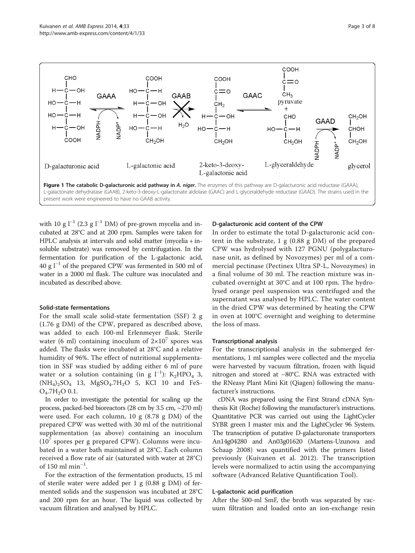

<span id="page-2-0"></span>

with 10 g  $l^{-1}$  (2.3 g  $l^{-1}$  DM) of pre-grown mycelia and incubated at 28°C and at 200 rpm. Samples were taken for HPLC analysis at intervals and solid matter (mycelia + insoluble substrate) was removed by centrifugation. In the fermentation for purification of the L-galactonic acid, 40 g l−<sup>1</sup> of the prepared CPW was fermented in 500 ml of water in a 2000 ml flask. The culture was inoculated and incubated as described above.

#### Solid-state fermentations

For the small scale solid-state fermentation (SSF) 2 g (1.76 g DM) of the CPW, prepared as described above, was added to each 100-ml Erlenmeyer flask. Sterile water (6 ml) containing inoculum of  $2\times10^7$  spores was added. The flasks were incubated at 28°C and a relative humidity of 96%. The effect of nutritional supplementation in SSF was studied by adding either 6 ml of pure water or a solution containing (in g l<sup>-1</sup>): K<sub>2</sub>HPO<sub>4</sub> 3,  $(NH_4)_2SO_4$  13,  $MgSO_4$ .7 $H_2O$  5, KCl 10 and FeS- $O_4.7H_2O$  0.1.

In order to investigate the potential for scaling up the process, packed-bed bioreactors (28 cm by 3.5 cm, ~270 ml) were used. For each column, 10 g (8.78 g DM) of the prepared CPW was wetted with 30 ml of the nutritional supplementation (as above) containing an inoculum  $(10<sup>7</sup>$  spores per g prepared CPW). Columns were incubated in a water bath maintained at 28°C. Each column received a flow rate of air (saturated with water at 28°C) of 150 ml min $^{-1}$ .

For the extraction of the fermentation products, 15 ml of sterile water were added per 1 g (0.88 g DM) of fermented solids and the suspension was incubated at 28°C and 200 rpm for an hour. The liquid was collected by vacuum filtration and analysed by HPLC.

#### D-galacturonic acid content of the CPW

In order to estimate the total D-galacturonic acid content in the substrate, 1 g (0.88 g DM) of the prepared CPW was hydrolysed with 127 PGNU (polygalacturonase unit, as defined by Novozymes) per ml of a commercial pectinase (Pectinex Ultra SP-L, Novozymes) in a final volume of 30 ml. The reaction mixture was incubated overnight at 30°C and at 100 rpm. The hydrolysed orange peel suspension was centrifuged and the supernatant was analysed by HPLC. The water content in the dried CPW was determined by heating the CPW in oven at 100°C overnight and weighing to determine the loss of mass.

#### Transcriptional analysis

For the transcriptional analysis in the submerged fermentations, 1 ml samples were collected and the mycelia were harvested by vacuum filtration, frozen with liquid nitrogen and stored at −80°C. RNA was extracted with the RNeasy Plant Mini Kit (Qiagen) following the manufacturer's instructions.

cDNA was prepared using the First Strand cDNA Synthesis Kit (Roche) following the manufacturer's instructions. Quantitative PCR was carried out using the LightCycler SYBR green I master mix and the LightCycler 96 System. The transcription of putative D-galacturonate transporters An14g04280 and An03g01620 (Martens-Uzunova and Schaap [2008\)](#page-7-0) was quantified with the primers listed previously (Kuivanen et al. [2012\)](#page-7-0). The transcription levels were normalized to actin using the accompanying software (Advanced Relative Quantification Tool).

#### L-galactonic acid purification

After the 500-ml SmF, the broth was separated by vacuum filtration and loaded onto an ion-exchange resin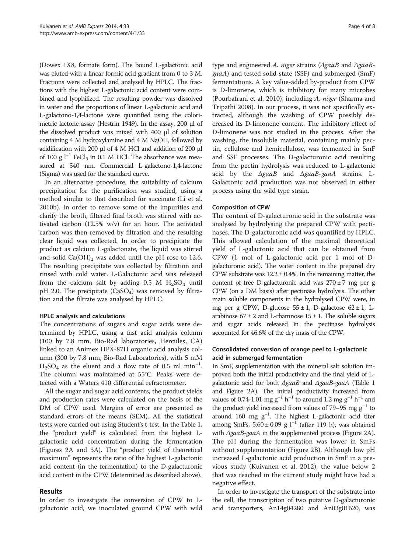(Dowex 1X8, formate form). The bound L-galactonic acid was eluted with a linear formic acid gradient from 0 to 3 M. Fractions were collected and analysed by HPLC. The fractions with the highest L-galactonic acid content were combined and lyophilized. The resulting powder was dissolved in water and the proportions of linear L-galactonic acid and L-galactono-1,4-lactone were quantified using the colorimetric lactone assay (Hestrin [1949\)](#page-7-0). In the assay, 200 μl of the dissolved product was mixed with 400 μl of solution containing 4 M hydroxylamine and 4 M NaOH, followed by acidification with 200 μl of 4 M HCl and addition of 200 μl of 100 g  $l^{-1}$  FeCl<sub>3</sub> in 0.1 M HCl. The absorbance was measured at 540 nm. Commercial L-galactono-1,4-lactone (Sigma) was used for the standard curve.

In an alternative procedure, the suitability of calcium precipitation for the purification was studied, using a method similar to that described for succinate (Li et al. [2010b](#page-7-0)). In order to remove some of the impurities and clarify the broth, filtered final broth was stirred with activated carbon (12.5% w/v) for an hour. The activated carbon was then removed by filtration and the resulting clear liquid was collected. In order to precipitate the product as calcium L-galactonate, the liquid was stirred and solid  $Ca(OH)_2$  was added until the pH rose to 12.6. The resulting precipitate was collected by filtration and rinsed with cold water. L-Galactonic acid was released from the calcium salt by adding  $0.5$  M  $H<sub>2</sub>SO<sub>4</sub>$  until pH 2.0. The precipitate  $(CaSO<sub>4</sub>)$  was removed by filtration and the filtrate was analysed by HPLC.

#### HPLC analysis and calculations

The concentrations of sugars and sugar acids were determined by HPLC, using a fast acid analysis column (100 by 7.8 mm, Bio-Rad laboratories, Hercules, CA) linked to an Animex HPX-87H organic acid analysis column (300 by 7.8 mm, Bio-Rad Laboratories), with 5 mM  $H<sub>2</sub>SO<sub>4</sub>$  as the eluent and a flow rate of 0.5 ml min<sup>-1</sup>. The column was maintained at 55°C. Peaks were detected with a Waters 410 differential refractometer.

All the sugar and sugar acid contents, the product yields and production rates were calculated on the basis of the DM of CPW used. Margins of error are presented as standard errors of the means (SEM). All the statistical tests were carried out using Student's t-test. In the Table [1](#page-4-0), the "product yield" is calculated from the highest Lgalactonic acid concentration during the fermentation (Figures [2](#page-4-0)A and [3A](#page-4-0)). The "product yield of theoretical maximum" represents the ratio of the highest L-galactonic acid content (in the fermentation) to the D-galacturonic acid content in the CPW (determined as described above).

#### Results

In order to investigate the conversion of CPW to Lgalactonic acid, we inoculated ground CPW with wild

type and engineered A. niger strains ( $\Delta$ gaaB and  $\Delta$ gaaBgaaA) and tested solid-state (SSF) and submerged (SmF) fermentations. A key value-added by-product from CPW is D-limonene, which is inhibitory for many microbes (Pourbafrani et al. [2010\)](#page-7-0), including A. niger (Sharma and Tripathi [2008\)](#page-7-0). In our process, it was not specifically extracted, although the washing of CPW possibly decreased its D-limonene content. The inhibitory effect of D-limonene was not studied in the process. After the washing, the insoluble material, containing mainly pectin, cellulose and hemicellulose, was fermented in SmF and SSF processes. The D-galacturonic acid resulting from the pectin hydrolysis was reduced to L-galactonic acid by the  $\Delta$ gaaB and  $\Delta$ gaaB-gaaA strains. L-Galactonic acid production was not observed in either process using the wild type strain.

## Composition of CPW

The content of D-galacturonic acid in the substrate was analysed by hydrolysing the prepared CPW with pectinases. The D-galacturonic acid was quantified by HPLC. This allowed calculation of the maximal theoretical yield of L-galactonic acid that can be obtained from CPW (1 mol of L-galactonic acid per 1 mol of Dgalacturonic acid). The water content in the prepared dry CPW substrate was  $12.2 \pm 0.4$ %. In the remaining matter, the content of free D-galacturonic acid was  $270 \pm 7$  mg per g CPW (on a DM basis) after pectinase hydrolysis. The other main soluble components in the hydrolysed CPW were, in mg per g CPW, D-glucose  $55 \pm 1$ , D-galactose  $62 \pm 1$ , Larabinose  $67 \pm 2$  and L-rhamnose  $15 \pm 1$ . The soluble sugars and sugar acids released in the pectinase hydrolysis accounted for 46.6% of the dry mass of the CPW.

# Consolidated conversion of orange peel to L-galactonic acid in submerged fermentation

In SmF, supplementation with the mineral salt solution improved both the initial productivity and the final yield of Lgalactonic acid for both ΔgaaB and ΔgaaB-gaaA (Table [1](#page-4-0) and Figure [2A](#page-4-0)). The initial productivity increased from values of 0.74-1.01 mg g<sup>-1</sup> h<sup>-1</sup> to around 1.2 mg g<sup>-1</sup> h<sup>-1</sup> and the product yield increased from values of 79–95 mg  $g^{-1}$  to around 160 mg g−<sup>1</sup> . The highest L-galactonic acid titer among SmFs,  $5.60 \pm 0.09$  g l<sup>-1</sup> (after 119 h), was obtained with ΔgaaB-gaaA in the supplemented process (Figure [2A](#page-4-0)). The pH during the fermentation was lower in SmFs without supplementation (Figure [2B](#page-4-0)). Although low pH increased L-galactonic acid production in SmF in a previous study (Kuivanen et al. [2012\)](#page-7-0), the value below 2 that was reached in the current study might have had a negative effect.

In order to investigate the transport of the substrate into the cell, the transcription of two putative D-galacturonic acid transporters, An14g04280 and An03g01620, was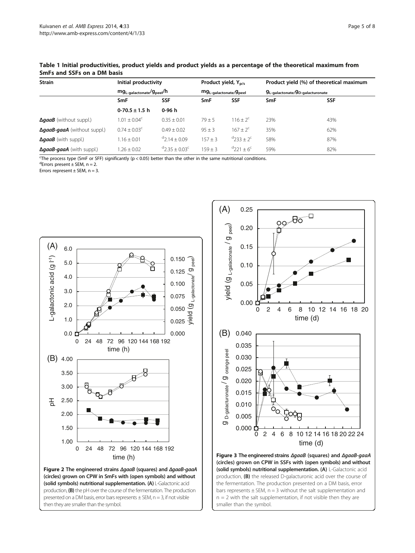## <span id="page-4-0"></span>Table 1 Initial productivities, product yields and product yields as a percentage of the theoretical maximum from SmFs and SSFs on a DM basis

| <b>Strain</b>                                                                                                        | Initial productivity<br>mg <sub>L-galactonate</sub> /g <sub>peel</sub> /h |                                 | Product yield, $Y_{\rm p/s}$<br>mg <sub>L-galactonate/gpeel</sub> |                             | Product yield (%) of theoretical maximum<br>9L-galactonate/9D-galacturonate |            |
|----------------------------------------------------------------------------------------------------------------------|---------------------------------------------------------------------------|---------------------------------|-------------------------------------------------------------------|-----------------------------|-----------------------------------------------------------------------------|------------|
|                                                                                                                      |                                                                           |                                 |                                                                   |                             |                                                                             |            |
|                                                                                                                      | SmF                                                                       | <b>SSF</b>                      | SmF                                                               | <b>SSF</b>                  | <b>SmF</b>                                                                  | <b>SSF</b> |
|                                                                                                                      | $0-70.5 \pm 1.5$ h                                                        | 0-96 h                          |                                                                   |                             |                                                                             |            |
| $\Delta$ gaaB (without suppl.)                                                                                       | $1.01 \pm 0.04^{\circ}$                                                   | $0.35 + 0.01$                   | $79 + 5$                                                          | $116 + 2^c$                 | 23%                                                                         | 43%        |
| <b><i><u>AgaaB-qaaA</u></i></b> (without suppl.)                                                                     | $0.74 \pm 0.03^{\circ}$                                                   | $0.49 \pm 0.02$                 | $95 \pm 3$                                                        | $167 \pm 2^{c}$             | 35%                                                                         | 62%        |
| $\Delta$ gaaB (with suppl.)                                                                                          | $1.16 \pm 0.01$                                                           | $42.14 \pm 0.09$                | $157 \pm 3$                                                       | $4233 + 2^c$                | 58%                                                                         | 87%        |
| <b><i>AgaaB-gaaA</i></b> (with suppl.)                                                                               | $1.26 + 0.02$                                                             | $^{d}$ 2.35 + 0.03 <sup>c</sup> | $159 + 3$                                                         | $^{d}$ 221 + 6 <sup>c</sup> | 59%                                                                         | 82%        |
| The process type (SmF or SFF) significantly ( $p < 0.05$ ) better than the other in the same nutritional conditions. |                                                                           |                                 |                                                                   |                             |                                                                             |            |

 $d$ Errors present  $\pm$  SEM, n = 2.

Errors represent  $\pm$  SEM, n = 3.



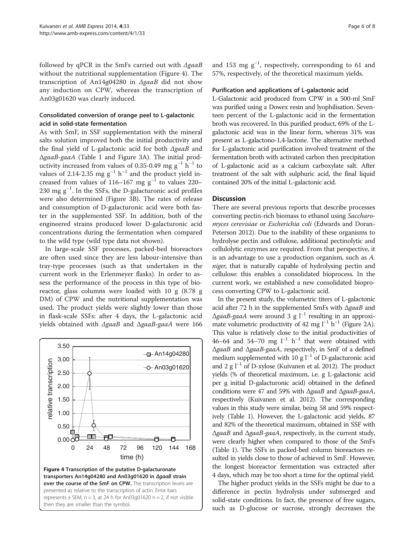<span id="page-5-0"></span>followed by qPCR in the SmFs carried out with  $\triangle$ gaaB without the nutritional supplementation (Figure 4). The transcription of An14g04280 in ΔgaaB did not show any induction on CPW, whereas the transcription of An03g01620 was clearly induced.

# Consolidated conversion of orange peel to L-galactonic acid in solid-state fermentation

As with SmF, in SSF supplementation with the mineral salts solution improved both the initial productivity and the final yield of L-galactonic acid for both ΔgaaB and ΔgaaB-gaaA (Table [1](#page-4-0) and Figure [3](#page-4-0)A). The initial productivity increased from values of 0.35-0.49 mg  $g^{-1}$  h<sup>-1</sup> to values of 2.14-2.35 mg  $g^{-1}$  h<sup>-1</sup> and the product yield increased from values of 116–167 mg  $g^{-1}$  to values 220–  $230$  mg  $g^{-1}$ . In the SSFs, the D-galacturonic acid profiles were also determined (Figure [3](#page-4-0)B). The rates of release and consumption of D-galacturonic acid were both faster in the supplemented SSF. In addition, both of the engineered strains produced lower D-galacturonic acid concentrations during the fermentation when compared to the wild type (wild type data not shown).

In large-scale SSF processes, packed-bed bioreactors are often used since they are less labour-intensive than tray-type processes (such as that undertaken in the current work in the Erlenmeyer flasks). In order to assess the performance of the process in this type of bioreactor, glass columns were loaded with 10 g (8.78 g DM) of CPW and the nutritional supplementation was used. The product yields were slightly lower than those in flask-scale SSFs: after 4 days, the L-galactonic acid yields obtained with ΔgaaB and ΔgaaB-gaaA were 166



and 153 mg  $g^{-1}$ , respectively, corresponding to 61 and 57%, respectively, of the theoretical maximum yields.

#### Purification and applications of L-galactonic acid

L-Galactonic acid produced from CPW in a 500-ml SmF was purified using a Dowex resin and lyophilisation. Seventeen percent of the L-galactonic acid in the fermentation broth was recovered. In this purified product, 69% of the Lgalactonic acid was in the linear form, whereas 31% was present as L-galactono-1,4-lactone. The alternative method for L-galactonic acid purification involved treatment of the fermentation broth with activated carbon then precipitation of L-galactonic acid as a calcium carboxylate salt. After treatment of the salt with sulphuric acid, the final liquid contained 20% of the initial L-galactonic acid.

### **Discussion**

There are several previous reports that describe processes converting pectin-rich biomass to ethanol using Saccharomyces cerevisiae or Escherichia coli (Edwards and Doran-Peterson [2012\)](#page-7-0). Due to the inability of these organisms to hydrolyse pectin and cellulose, additional pectinolytic and cellulolytic enzymes are required. From that perspective, it is an advantage to use a production organism, such as A. niger, that is naturally capable of hydrolysing pectin and cellulose: this enables a consolidated bioprocess. In the current work, we established a new consolidated bioprocess converting CPW to L-galactonic acid.

In the present study, the volumetric titers of L-galactonic acid after 72 h in the supplemented SmFs with ΔgaaB and  $\Delta$ gaaB-gaaA were around 3 g l<sup>-1</sup> resulting in an approximate volumetric productivity of 42 mg  $l^{-1}$  h<sup>-1</sup> (Figure [2A](#page-4-0)). This value is relatively close to the initial productivities of 46–64 and 54–70 mg  $l^{-1}$  h<sup>-1</sup> that were obtained with ΔgaaB and ΔgaaB-gaaA, respectively, in SmF of a defined medium supplemented with 10 g  $l^{-1}$  of D-galacturonic acid and 2 g l−<sup>1</sup> of D-xylose (Kuivanen et al. [2012](#page-7-0)). The product yields (% of theoretical maximum, i.e. g L-galactonic acid per g initial D-galacturonic acid) obtained in the defined conditions were 47 and 59% with ΔgaaB and ΔgaaB-gaaA, respectively (Kuivanen et al. [2012](#page-7-0)). The corresponding values in this study were similar, being 58 and 59% respectively (Table [1](#page-4-0)). However, the L-galactonic acid yields, 87 and 82% of the theoretical maximum, obtained in SSF with ΔgaaB and ΔgaaB-gaaA, respectively, in the current study, were clearly higher when compared to those of the SmFs (Table [1](#page-4-0)). The SSFs in packed-bed column bioreactors resulted in yields close to those of achieved in SmF. However, the longest bioreactor fermentation was extracted after 4 days, which may be too short a time for the optimal yield.

The higher product yields in the SSFs might be due to a difference in pectin hydrolysis under submerged and solid-state conditions. In fact, the presence of free sugars, such as D-glucose or sucrose, strongly decreases the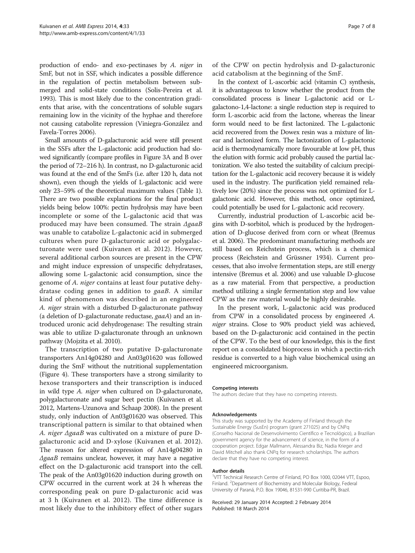production of endo- and exo-pectinases by A. niger in SmF, but not in SSF, which indicates a possible difference in the regulation of pectin metabolism between submerged and solid-state conditions (Solis-Pereira et al. [1993\)](#page-7-0). This is most likely due to the concentration gradients that arise, with the concentrations of soluble sugars remaining low in the vicinity of the hyphae and therefore not causing catabolite repression (Viniegra-González and Favela-Torres [2006\)](#page-7-0).

Small amounts of D-galacturonic acid were still present in the SSFs after the L-galactonic acid production had slowed significantly (compare profiles in Figure [3](#page-4-0)A and B over the period of 72–216 h). In contrast, no D-galacturonic acid was found at the end of the SmFs (i.e. after 120 h, data not shown), even though the yields of L-galactonic acid were only 23–59% of the theoretical maximum values (Table [1](#page-4-0)). There are two possible explanations for the final product yields being below 100%: pectin hydrolysis may have been incomplete or some of the L-galactonic acid that was produced may have been consumed. The strain ΔgaaB was unable to catabolize L-galactonic acid in submerged cultures when pure D-galacturonic acid or polygalacturonate were used (Kuivanen et al. [2012](#page-7-0)). However, several additional carbon sources are present in the CPW and might induce expression of unspecific dehydratases, allowing some L-galactonic acid consumption, since the genome of A. niger contains at least four putative dehydratase coding genes in addition to gaaB. A similar kind of phenomenon was described in an engineered A. niger strain with a disturbed D-galacturonate pathway (a deletion of D-galacturonate reductase, gaaA) and an introduced uronic acid dehydrogenase: The resulting strain was able to utilize D-galacturonate through an unknown pathway (Mojzita et al. [2010](#page-7-0)).

The transcription of two putative D-galacturonate transporters An14g04280 and An03g01620 was followed during the SmF without the nutritional supplementation (Figure [4\)](#page-5-0). These transporters have a strong similarity to hexose transporters and their transcription is induced in wild type A. niger when cultured on D-galacturonate, polygalacturonate and sugar beet pectin (Kuivanen et al. [2012,](#page-7-0) Martens-Uzunova and Schaap [2008](#page-7-0)). In the present study, only induction of An03g01620 was observed. This transcriptional pattern is similar to that obtained when A. niger ΔgaaB was cultivated on a mixture of pure Dgalacturonic acid and D-xylose (Kuivanen et al. [2012](#page-7-0)). The reason for altered expression of An14g04280 in ΔgaaB remains unclear, however, it may have a negative effect on the D-galacturonic acid transport into the cell. The peak of the An03g01620 induction during growth on CPW occurred in the current work at 24 h whereas the corresponding peak on pure D-galacturonic acid was at 3 h (Kuivanen et al. [2012\)](#page-7-0). The time difference is most likely due to the inhibitory effect of other sugars

of the CPW on pectin hydrolysis and D-galacturonic acid catabolism at the beginning of the SmF.

In the context of L-ascorbic acid (vitamin C) synthesis, it is advantageous to know whether the product from the consolidated process is linear L-galactonic acid or Lgalactono-1,4-lactone: a single reduction step is required to form L-ascorbic acid from the lactone, whereas the linear form would need to be first lactonized. The L-galactonic acid recovered from the Dowex resin was a mixture of linear and lactonized form. The lactonization of L-galactonic acid is thermodynamically more favourable at low pH, thus the elution with formic acid probably caused the partial lactonization. We also tested the suitability of calcium precipitation for the L-galactonic acid recovery because it is widely used in the industry. The purification yield remained relatively low (20%) since the process was not optimized for Lgalactonic acid. However, this method, once optimized, could potentially be used for L-galactonic acid recovery.

Currently, industrial production of L-ascorbic acid begins with D-sorbitol, which is produced by the hydrogenation of D-glucose derived from corn or wheat (Bremus et al. [2006\)](#page-7-0). The predominant manufacturing methods are still based on Reichstein process, which is a chemical process (Reichstein and Grüssner [1934\)](#page-7-0). Current processes, that also involve fermentation steps, are still energy intensive (Bremus et al. [2006](#page-7-0)) and use valuable D-glucose as a raw material. From that perspective, a production method utilizing a single fermentation step and low value CPW as the raw material would be highly desirable.

In the present work, L-galactonic acid was produced from CPW in a consolidated process by engineered A. niger strains. Close to 90% product yield was achieved, based on the D-galacturonic acid contained in the pectin of the CPW. To the best of our knowledge, this is the first report on a consolidated bioprocess in which a pectin-rich residue is converted to a high value biochemical using an engineered microorganism.

#### Competing interests

The authors declare that they have no competing interests.

#### Acknowledgements

This study was supported by the Academy of Finland through the Sustainable Energy (SusEn) program (grant 271025) and by CNPq (Conselho Nacional de Desenvolvimento Científico e Tecnológico), a Brazilian government agency for the advancement of science, in the form of a cooperation project. Edgar Mallmann, Alessandra Biz, Nadia Krieger and David Mitchell also thank CNPq for research scholarships. The authors declare that they have no competing interest.

#### Author details

<sup>1</sup>VTT Technical Research Centre of Finland, PO Box 1000, 02044 VTT, Espoo, Finland. <sup>2</sup> Department of Biochemistry and Molecular Biology, Federal University of Paraná, P.O. Box 19046, 81531-990 Curitiba-PR, Brazil.

Received: 29 January 2014 Accepted: 2 February 2014 Published: 18 March 2014